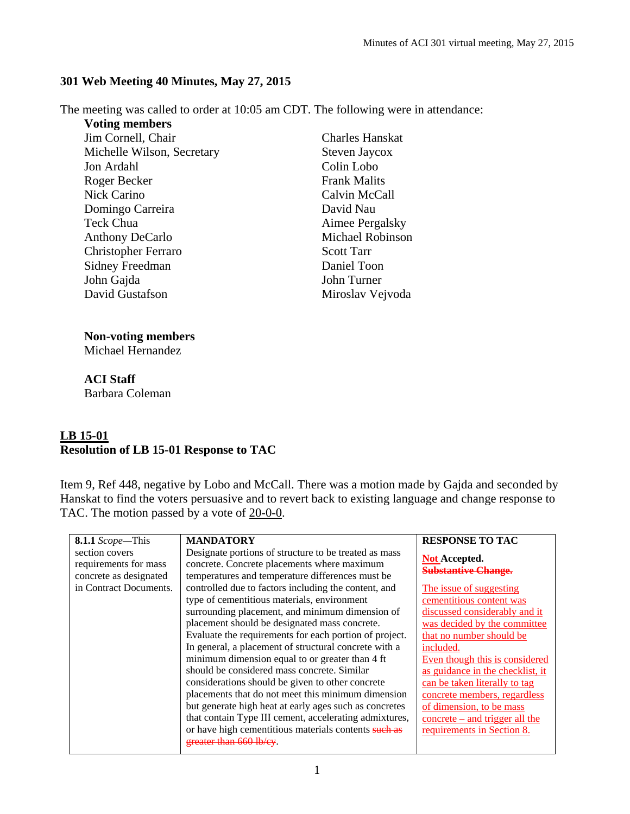## **301 Web Meeting 40 Minutes, May 27, 2015**

The meeting was called to order at 10:05 am CDT. The following were in attendance:

**Voting members**  Jim Cornell, Chair Michelle Wilson, Secretary Jon Ardahl Roger Becker Nick Carino Domingo Carreira Teck Chua Anthony DeCarlo Christopher Ferraro Sidney Freedman John Gajda David Gustafson

Charles Hanskat Steven Jaycox Colin Lobo Frank Malits Calvin McCall David Nau Aimee Pergalsky Michael Robinson Scott Tarr Daniel Toon John Turner Miroslav Vejvoda

## **Non-voting members**

Michael Hernandez

**ACI Staff**  Barbara Coleman

## **LB 15-01 Resolution of LB 15-01 Response to TAC**

Item 9, Ref 448, negative by Lobo and McCall. There was a motion made by Gajda and seconded by Hanskat to find the voters persuasive and to revert back to existing language and change response to TAC. The motion passed by a vote of 20-0-0.

| 8.1.1 Scope-This                                                  | <b>MANDATORY</b>                                                                                                                                                                                                                                                                                                                                                                                                             | <b>RESPONSE TO TAC</b>                                                                                                                                                                                                              |
|-------------------------------------------------------------------|------------------------------------------------------------------------------------------------------------------------------------------------------------------------------------------------------------------------------------------------------------------------------------------------------------------------------------------------------------------------------------------------------------------------------|-------------------------------------------------------------------------------------------------------------------------------------------------------------------------------------------------------------------------------------|
| section covers<br>requirements for mass<br>concrete as designated | Designate portions of structure to be treated as mass<br>concrete. Concrete placements where maximum<br>temperatures and temperature differences must be                                                                                                                                                                                                                                                                     | <b>Not Accepted.</b><br><b>Substantive Change.</b>                                                                                                                                                                                  |
| in Contract Documents.                                            | controlled due to factors including the content, and<br>type of cementitious materials, environment<br>surrounding placement, and minimum dimension of<br>placement should be designated mass concrete.<br>Evaluate the requirements for each portion of project.<br>In general, a placement of structural concrete with a<br>minimum dimension equal to or greater than 4 ft<br>should be considered mass concrete. Similar | The issue of suggesting<br>cementitious content was<br>discussed considerably and it<br>was decided by the committee<br>that no number should be<br>included.<br>Even though this is considered<br>as guidance in the checklist, it |
|                                                                   | considerations should be given to other concrete<br>placements that do not meet this minimum dimension<br>but generate high heat at early ages such as concretes<br>that contain Type III cement, accelerating admixtures,<br>or have high cementitious materials contents such as<br>greater than 660 lb/ey                                                                                                                 | can be taken literally to tag<br>concrete members, regardless<br>of dimension, to be mass<br>$concrete - and trigger all the$<br>requirements in Section 8.                                                                         |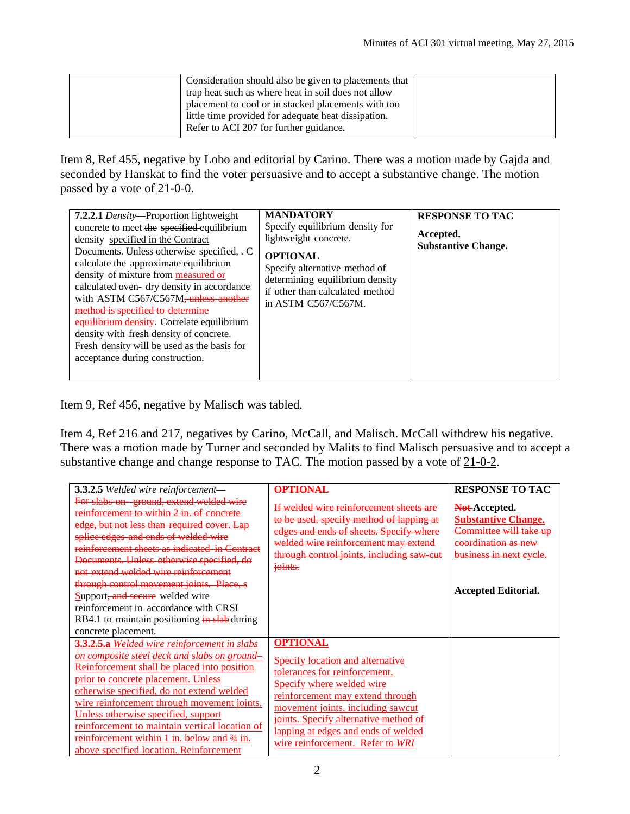| Consideration should also be given to placements that |  |
|-------------------------------------------------------|--|
| trap heat such as where heat in soil does not allow   |  |
| placement to cool or in stacked placements with too   |  |
| little time provided for adequate heat dissipation.   |  |
| Refer to ACI 207 for further guidance.                |  |
|                                                       |  |

Item 8, Ref 455, negative by Lobo and editorial by Carino. There was a motion made by Gajda and seconded by Hanskat to find the voter persuasive and to accept a substantive change. The motion passed by a vote of 21-0-0.

| 7.2.2.1 Density-Proportion lightweight<br>concrete to meet the specified equilibrium<br>density specified in the Contract<br>Documents. Unless otherwise specified, -C<br>calculate the approximate equilibrium<br>density of mixture from measured or<br>calculated oven- dry density in accordance<br>with ASTM C567/C567M, unless another<br>method is specified to determine<br>equilibrium density. Correlate equilibrium<br>density with fresh density of concrete.<br>Fresh density will be used as the basis for<br>acceptance during construction. | <b>MANDATORY</b><br>Specify equilibrium density for<br>lightweight concrete.<br><b>OPTIONAL</b><br>Specify alternative method of<br>determining equilibrium density<br>if other than calculated method<br>in ASTM C567/C567M. | <b>RESPONSE TO TAC</b><br>Accepted.<br><b>Substantive Change.</b> |
|-------------------------------------------------------------------------------------------------------------------------------------------------------------------------------------------------------------------------------------------------------------------------------------------------------------------------------------------------------------------------------------------------------------------------------------------------------------------------------------------------------------------------------------------------------------|-------------------------------------------------------------------------------------------------------------------------------------------------------------------------------------------------------------------------------|-------------------------------------------------------------------|
|-------------------------------------------------------------------------------------------------------------------------------------------------------------------------------------------------------------------------------------------------------------------------------------------------------------------------------------------------------------------------------------------------------------------------------------------------------------------------------------------------------------------------------------------------------------|-------------------------------------------------------------------------------------------------------------------------------------------------------------------------------------------------------------------------------|-------------------------------------------------------------------|

Item 9, Ref 456, negative by Malisch was tabled.

Item 4, Ref 216 and 217, negatives by Carino, McCall, and Malisch. McCall withdrew his negative. There was a motion made by Turner and seconded by Malits to find Malisch persuasive and to accept a substantive change and change response to TAC. The motion passed by a vote of 21-0-2.

| 3.3.2.5 Welded wire reinforcement-                                                                                                                                                                                                                                                                                                                                                                                                                                                         | <b>OPTIONAL</b>                                                                                                                                                                                                                                                                                                       | <b>RESPONSE TO TAC</b>                                                                       |
|--------------------------------------------------------------------------------------------------------------------------------------------------------------------------------------------------------------------------------------------------------------------------------------------------------------------------------------------------------------------------------------------------------------------------------------------------------------------------------------------|-----------------------------------------------------------------------------------------------------------------------------------------------------------------------------------------------------------------------------------------------------------------------------------------------------------------------|----------------------------------------------------------------------------------------------|
| For slabs on ground, extend welded wire<br>reinforcement to within 2 in. of concrete<br>edge, but not less than required cover. Lap<br>splice edges and ends of welded wire                                                                                                                                                                                                                                                                                                                | If welded wire reinforcement sheets are<br>to be used, specify method of lapping at<br>edges and ends of sheets. Specify where<br>welded wire reinforcement may extend                                                                                                                                                | Not-Accepted.<br><b>Substantive Change.</b><br>Committee will take up<br>coordination as new |
| reinforcement sheets as indicated in Contract<br>Documents. Unless otherwise specified, do<br>not extend welded wire reinforcement                                                                                                                                                                                                                                                                                                                                                         | through control joints, including saw cut<br>joints.                                                                                                                                                                                                                                                                  | business in next cycle.                                                                      |
| through control movement joints. Place, s<br>Support, and secure welded wire<br>reinforcement in accordance with CRSI<br>RB4.1 to maintain positioning in slab during                                                                                                                                                                                                                                                                                                                      |                                                                                                                                                                                                                                                                                                                       | <b>Accepted Editorial.</b>                                                                   |
| concrete placement.                                                                                                                                                                                                                                                                                                                                                                                                                                                                        |                                                                                                                                                                                                                                                                                                                       |                                                                                              |
| <b>3.3.2.5.a</b> Welded wire reinforcement in slabs<br><u>on composite steel deck and slabs on ground-</u><br>Reinforcement shall be placed into position<br>prior to concrete placement. Unless<br>otherwise specified, do not extend welded<br>wire reinforcement through movement joints.<br>Unless otherwise specified, support<br>reinforcement to maintain vertical location of<br>reinforcement within 1 in. below and $\frac{3}{4}$ in.<br>above specified location. Reinforcement | <b>OPTIONAL</b><br>Specify location and alternative<br>tolerances for reinforcement.<br><b>Specify where welded wire</b><br>reinforcement may extend through<br>movement joints, including sawcut<br>joints. Specify alternative method of<br>lapping at edges and ends of welded<br>wire reinforcement. Refer to WRI |                                                                                              |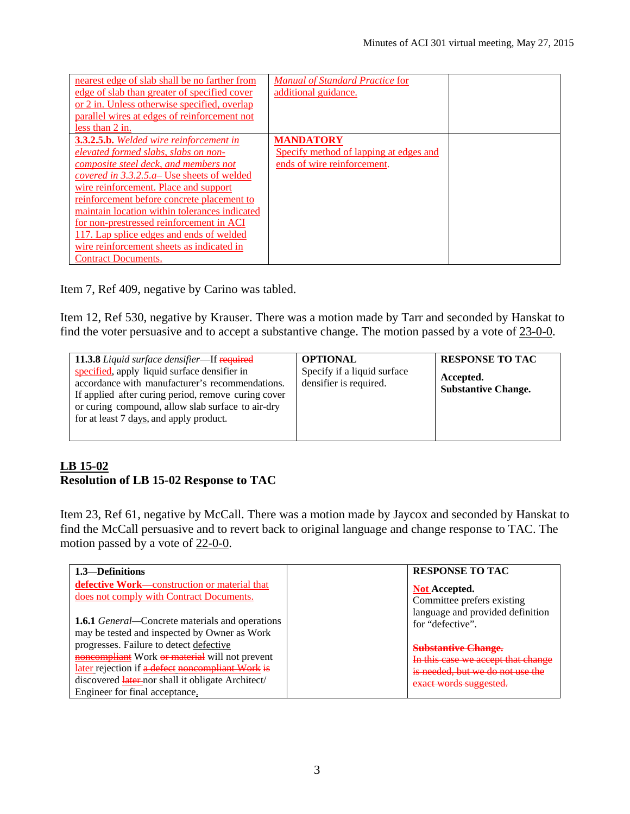| nearest edge of slab shall be no farther from<br>edge of slab than greater of specified cover<br>or 2 in. Unless otherwise specified, overlap<br>parallel wires at edges of reinforcement not<br>less than 2 in.                                                                                                                                                                                                                                                                                        | <b>Manual of Standard Practice for</b><br>additional guidance.                            |  |
|---------------------------------------------------------------------------------------------------------------------------------------------------------------------------------------------------------------------------------------------------------------------------------------------------------------------------------------------------------------------------------------------------------------------------------------------------------------------------------------------------------|-------------------------------------------------------------------------------------------|--|
| <b>3.3.2.5.b.</b> Welded wire reinforcement in<br>elevated formed slabs, slabs on non-<br>composite steel deck, and members not<br><i>covered in 3.3.2.5.a</i> – Use sheets of welded<br>wire reinforcement. Place and support<br><u>reinforcement</u> before concrete placement to<br>maintain location within tolerances indicated<br>for non-prestressed reinforcement in ACI<br>117. Lap splice edges and ends of welded<br>wire reinforcement sheets as indicated in<br><b>Contract Documents.</b> | <b>MANDATORY</b><br>Specify method of lapping at edges and<br>ends of wire reinforcement. |  |

Item 7, Ref 409, negative by Carino was tabled.

Item 12, Ref 530, negative by Krauser. There was a motion made by Tarr and seconded by Hanskat to find the voter persuasive and to accept a substantive change. The motion passed by a vote of 23-0-0.

| <b>11.3.8</b> Liquid surface densifier—If required                                                                                                                                                                                                     | <b>OPTIONAL</b>                                       | <b>RESPONSE TO TAC</b>                  |
|--------------------------------------------------------------------------------------------------------------------------------------------------------------------------------------------------------------------------------------------------------|-------------------------------------------------------|-----------------------------------------|
| specified, apply liquid surface densifier in<br>accordance with manufacturer's recommendations.<br>If applied after curing period, remove curing cover<br>or curing compound, allow slab surface to air-dry<br>for at least 7 days, and apply product. | Specify if a liquid surface<br>densifier is required. | Accepted.<br><b>Substantive Change.</b> |
|                                                                                                                                                                                                                                                        |                                                       |                                         |

## **LB 15-02 Resolution of LB 15-02 Response to TAC**

Item 23, Ref 61, negative by McCall. There was a motion made by Jaycox and seconded by Hanskat to find the McCall persuasive and to revert back to original language and change response to TAC. The motion passed by a vote of 22-0-0.

| 1.3—Definitions                                                                     | <b>RESPONSE TO TAC</b>             |
|-------------------------------------------------------------------------------------|------------------------------------|
| defective Work-construction or material that                                        | <b>Not Accepted.</b>               |
| does not comply with Contract Documents.                                            | Committee prefers existing         |
| <b>1.6.1</b> <i>General</i> —Concrete materials and operations                      | language and provided definition   |
| may be tested and inspected by Owner as Work                                        | for "defective".                   |
| progresses. Failure to detect defective                                             | <b>Substantive Change.</b>         |
| noncompliant Work or material will not prevent                                      | In this case we accept that change |
| later rejection if a defect noncompliant Work is                                    | is needed, but we do not use the   |
| discovered later-nor shall it obligate Architect/<br>Engineer for final acceptance. | exact words suggested.             |